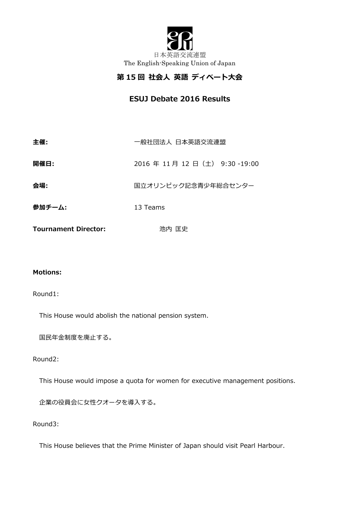

# **第 15 回 社会⼈ 英語 ディベート⼤会**

**ESUJ Debate 2016 Results**

| 主催:                         | 一般社団法人 日本英語交流連盟           |  |  |
|-----------------------------|---------------------------|--|--|
| 開催日:                        | 2016年11月12日(土) 9:30-19:00 |  |  |
| 会場:                         | 国立オリンピック記念青少年総合センター       |  |  |
| 参加チーム:                      | 13 Teams                  |  |  |
| <b>Tournament Director:</b> | 池内 匡史                     |  |  |

### **Motions:**

#### Round1:

This House would abolish the national pension system.

国民年金制度を廃止する。

#### Round2:

This House would impose a quota for women for executive management positions.

企業の役員会に女性クオータを導入する。

Round3:

This House believes that the Prime Minister of Japan should visit Pearl Harbour.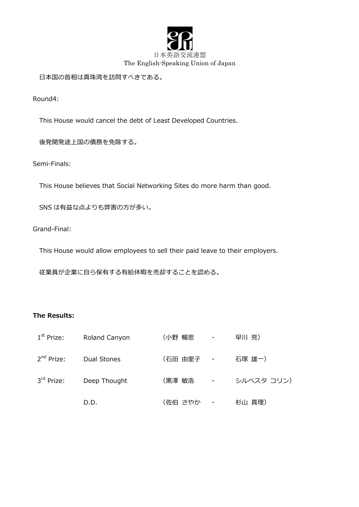

日本国の首相は真珠湾を訪問すべきである。

Round4:

This House would cancel the debt of Least Developed Countries.

後発開発途上国の債務を免除する。

Semi-Finals:

This House believes that Social Networking Sites do more harm than good.

SNS は有益な点よりも弊害の方が多い。

Grand-Final:

This House would allow employees to sell their paid leave to their employers.

従業員が企業に⾃ら保有する有給休暇を売却することを認める。

## **The Results:**

| 1 <sup>st</sup> Prize: | Roland Canyon | (小野 暢思    | $\sim 100$ km s $^{-1}$     | 早川 亮)      |
|------------------------|---------------|-----------|-----------------------------|------------|
| 2 <sup>nd</sup> Prize: | Dual Stones   | (石田 由里子 ・ |                             | 石塚 雄一)     |
| 3 <sup>rd</sup> Prize: | Deep Thought  | (黒澤 敏浩    | $\mathcal{L}_{\mathcal{A}}$ | シルベスタ コリン) |
|                        | D.D.          | (佐伯 さやか   | $\bullet$                   | 杉山 真理)     |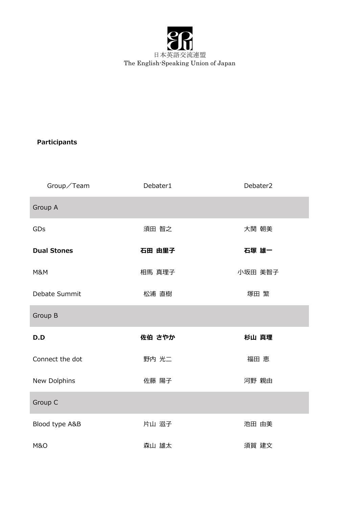

## **Participants**

| Group/Team         | Debater1 | Debater2 |
|--------------------|----------|----------|
| Group A            |          |          |
| GDs                | 須田 智之    | 大関 朝美    |
| <b>Dual Stones</b> | 石田 由里子   | 石塚 雄一    |
| M&M                | 相馬 真理子   | 小坂田 美智子  |
| Debate Summit      | 松浦 直樹    | 塚田 繁     |
| Group B            |          |          |
| D.D                | 佐伯 さやか   | 杉山 真理    |
| Connect the dot    | 野内 光二    | 福田 恵     |
| New Dolphins       | 佐藤 陽子    | 河野 親由    |
| Group C            |          |          |
| Blood type A&B     | 片山 滋子    | 池田 由美    |
| <b>M&amp;O</b>     | 森山 雄太    | 須賀 建文    |